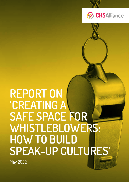



# REPORT ON 'CREATING A SAFE SPACE FOR WHISTLEBLOWERS: HOW TO BUILD SPEAK-UP CULTURES'

May 2022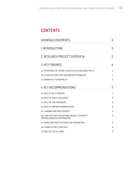# **CONTENTS**

| <b>ACKNOWLEDGEMENTS</b>                                                               | 3 |
|---------------------------------------------------------------------------------------|---|
| 1. INTRODUCTION                                                                       | 3 |
| 2. RESEARCH PROJECT OVERVIEW                                                          | 3 |
| <b>3. KEY FINDINGS</b>                                                                | 4 |
| 3.1. IMPORTANCE OF HAVING A SOLID WHISTLEBLOWING POLICY                               | 4 |
| 3.2. OTHER FACTORS THAT ENCOURAGE SPEAKING UP                                         | 4 |
| 3.3 BARRIERS TO SPEAKING UP                                                           | 5 |
| <b>4. KEY RECOMMENDATIONS</b>                                                         | 7 |
| 4.1. ROLE OF POLICYMAKERS                                                             | 7 |
| 4.2. ROLE OF WHISTLEBLOWERS                                                           | 8 |
| 4.3 ROLE OF LINE MANAGERS                                                             | 8 |
| 44 ROLE OF PARTNER ORGANISATIONS                                                      | 8 |
| 4.5. TRAINING AND DEVELOPMENT                                                         | 9 |
| 4.6. LINK WITH ANTI-RACISM AND EQUALITY, DIVERSITY,<br>AND INCLUSION (EDI) APPROACHES | 9 |
| 4.7. MODELLING PRACTICE BASED ON COMMUNITIES                                          | 9 |
| <b>4.8. TAKING A LONG-TERM VIEW</b>                                                   | 9 |
| 4.9. ROLE OF THE ALLIANCE                                                             | 9 |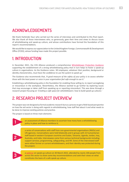# <span id="page-2-0"></span>ACKNOWLEDGEMENTS

We thank Harbinder Kaur who carried out the series of interviews and contributed to this final report. We also thank all those interviewees who, so generously, gave their time and views to discuss issues of whistleblowing and speak-up culture, and whose contributions have formed the foundation of this report's recommendations.

We would like to express our appreciation to the United Kingdom Foreign, Commonwealth & Development Office (FCDO), whose funding have made this project possible.

## 1. INTRODUCTION

In December 2021, the CHS Alliance produced a comprehensive [Whistleblower Protection Guidance](https://www.chsalliance.org/get-support/resource/whistleblower-protection-guidance/) supporting the establishment of a strong whistleblowing policy that in turn helps to foster a speak-up culture in organisations. As the Guidance notes: *'All employees, whatever their position, background or identity characteristics, must have the confidence to use the system to speak up.'*

The Guidance also recommends that, *'A good measure of the safety of your policy is to assess whether those with the least power or voice in your organisation feel safe enough to use it.'*

Establishing a whistleblowing policy is the foundation for enabling those willing to, to report wrongdoing or misconduct in the workplace. Nevertheless, the Alliance wanted to go further by exploring issues that may encourage or deter staff from speaking up or reporting misconduct. This was done through a research project focusing on *'Creating a safe space for whistleblowers: how to build speak-up cultures.'*

# 2. RESEARCH PROJECT OVERVIEW

This project was not designed as formal academic research but as a process to get a field-based perspective on how the aid sector is doing with regards to whistleblowing, how staff feel about it and what needs to be done to improve existing policies and practice.

The project is based on three main elements:

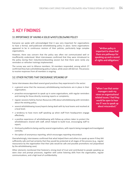# <span id="page-3-0"></span>3. KEY FINDINGS

### 3.1. IMPORTANCE OF HAVING A SOLID WHISTLEBLOWING POLICY

Everyone we spoke with acknowledged that it was very important for organisations to have a formal, well-publicised whistleblowing policy in place. Some organisations appeared to be in continuous revision of their policies, particularly large complex organisations.

However, there was concern that the policy was often not communicated well or insufficiently understood. Most interviewees confirmed that they were introduced to the policy during their induction/onboarding session but that there were rarely any reminders or refresher trainings implemented.

The survey was sent to Alliance members. 34 members responded, among which 27 confirmed they had a whistleblowing policy in place, while seven still did not. The process to receive responses from all members is ongoing.

"Written policy is important to show that there are pathways for speaking up and a record of rights and obligations."

### 3.2. OTHER FACTORS THAT ENCOURAGE SPEAKING UP

Some interviewees described several good practices they experienced in the sector:

- a general sense that the necessary whistleblowing mechanisms are in place in their organisation;
- proactive encouragement to speak up in some organisations, with regular reminders and training for those directly receiving reports or complaints;
- regular sessions held by Human Resources (HR) about whistleblowing with reminders about the existing policy;
- several whistleblowing issues/reports being dealt with by local teams and resolved at a local level;
- a tendency to have more staff speaking up when staff from headquarters engage effectively;
- a positive experience of whistleblowing with follow-up actions taken to protect the whistleblowers shared with staff, which helped to build trust, encouraging staff to report;
- third party platforms being used by several organisations, with reports being managed and investigated centrally;
- the option of anonymous reporting, which encourages reporting misconduct.

Overwhelmingly, interviewees confirmed that what helped them and others to speak up were if they felt sufficiently safe and had certainty that they would be protected at all stages of the process (e.g., regular reassurance by the organisation that their jobs would be safe and possible promotions not jeopardised by the whistleblowing case).

Other elements mentioned that fostered a strong level of trust and contributed to people speaking up were clear and prompt processes, together with active listening skills from the organisation, regular communications, and a high level of confidentiality.

"When I see that senior managers seek my views on organisational related issues, I feel they would be open to hear me if I was to speak up about misconduct."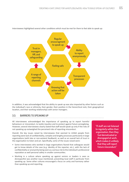

<span id="page-4-0"></span>Interviewees highlighted several other conditions which must be met for them to feel able to speak up:

In addition, it was acknowledged that the ability to speak up was also impacted by other factors such as the individual's race or ethnicity, their gender, their position in the hierarchical rank, their geographical location, and their working relationships with senior managers.

### 3.3. BARRIERS TO SPEAKING UP

All interviewees acknowledged the importance of speaking up to report harmful behaviours or misconduct, to tackle injustice and to protect against future wrongdoing. However, several interviewees clearly stated that staff would speak up only if the risks of not speaking up outweighed the perceived risks of reporting misconduct.

Overall, the key issues raised by interviewees that seemed to inhibit people from reporting were lack of confidentiality, complex and lengthy processes particularly in large organisations (with late or non-existent feedback), as well as an overall lack of trust in the organisation to listen and act. Specifically, some of the issues raised were:

- Some interviewees who worked in large organisations feared that colleagues would get to know details of the case (e.g. identity of the reporter, etc.), with the lack of confidentiality or anonymity being seen as a serious risk to the individual's professional reputation as well personal safety in smaller communities.
- Working in a culture where speaking up against seniors or leaders is seen as disrespectful was another issue mentioned, preventing local staff in particular from speaking up. Some other cultures encouraged a focus on unity and harmony rather than speaking up and reporting.

"If staff are not listened to regularly within their organisation, then they feel demotivated or disengaged at work, which makes it unlikely that they will report future misconduct."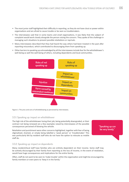- The most junior staff highlighted their difficulty in reporting, as they do not have clout or power within organisations and are afraid to cause trouble or be seen as troublemakers.
- The interviewees said that in some teams and small organisations, it was likely that the subject of complaint would work closely alongside the person raising the concern. They spoke of the challenge in managing such situations to prevent possible retaliations or reprisals.
- Many interviewees described that they had heard the way others had been treated in the past after reporting misconduct, which contributed to discouraging them from speaking up.
- Other barriers to speaking up acknowledged by all the interviewees include fear for the whistleblower's well-being as well the well-being of others, including dependents and local communities.



Figure 1: The pros and cons of whistleblowing as perceived by interviewees.

#### 3.3.1. Speaking up: impact on whistleblower

The high risk of the whistlebower losing their job, being potentially downgraded, or their contract not being renewed are a few examples raised by interviewees of the possible consequences perceived of blowing the whistle.

Retaliation and punishment were other concerns highlighted, together with fear of being stigmatised, shamed, or simply being labelled a 'weak person' or 'troublemaker.' This was particularly felt by resident staff who do not have the option to relocate as mobile staff do.

"Speaking up can be very lonely."

#### 3.3.2. Speaking up: impact on dependents

Many resident/local staff have families who are entirely dependent on their income. Some staff may be actively discouraged by their family from reporting as the loss of income, in the event of retaliation, would have huge consequences and implications for the entire family.

Often, staff do not want to be seen to 'make trouble' within the organisation and might be encouraged by family members or even peers to 'keep it in the family.'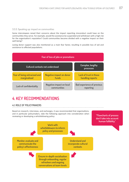#### <span id="page-6-0"></span>3.3.3. Speaking up: impact on communities

Some interviewees raised their concerns about the impact reporting misconduct could have on the communities they serve. For example, would the assistance be suspended and withdrawn with a high risk for the organisation's reputation? Could communities become divided with a negative impact on their well-being?

Losing donor support was also mentioned as a main fear factor, resulting in possible loss of aid and assistance to affected populations.



# 4. KEY RECOMMENDATIONS

### 4.1. ROLE OF POLICYMAKERS

Based on research, interviews, and exchanges, it was recommended that organisations, and in particular policymakers, take the following approach into consideration when reviewing or developing a whistleblowing policy:

"Flowcharts of process don't take into account human fallibility." Work with whistleblowers to inform policy and processes Understand and incorporate cultural contexts Monitor, evaluate and communicate the policy's effectiveness

Ensure in-depth socialisation through onboarding, regular refreshers and ongoing conversations at team levels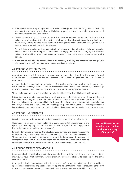- <span id="page-7-0"></span>• Although not always easy to implement, those with lived experience of reporting and whistleblowing must have the opportunity to get involved in informing policy and process and advising on what could be done better from their perspective.
- Developing and issuing policies and processes from centralised headquarters must be done in close collaboration with offices in the field, instead of giving top-down instructions on how to implement a final policy. Conceptualising draft documents at headquarter level and contextualising them in the field can be an approach that includes all views.
- The whistleblowing policy must be systematically introduced at onboarding stages, followed by regular conversations with staff during their employment. To engage better with all staff, regular refresher training on whistleblowing mechanisms and procedures in place to protect whistleblowers must also be held.
- If not carried out already, organisations must monitor, evaluate, and communicate the policy's effectiveness to all staff to show that voices are heard and acted upon.

### 4.2. ROLE OF WHISTLEBLOWERS

Current and former whistleblowers from several countries were interviewed for this research. Several described their experiences of feeling ostracised and isolated, marginalised, labelled, or denied promotions.

Aid organisations understand the importance of providing victims and survivors with support, but whistleblowers who may become vulnerable by speaking up are often seen as adversaries, as a challenge for the organisation, with drawn-out processes and procedures damaging staff morale.

These testimonies are a sobering reminder of why the Alliance's work on this issue is so important.

It is critical that we understand and learn from those with lived experience of whistleblowing to help not only inform policy and process but also to foster a culture where staff truly feel safe to speak up. Involving individuals with personal whistleblowing experience is not always easy due to the potential risks they face, but there are an increasing number of support groups with valuable collective experience and knowledge who are ready to support, be involved in and are committed to developing this area of work.

### 4.3. ROLE OF LINE MANAGERS

Participants raised the important role of line managers in supporting a speak-up culture.

Good managers are seen as key in building trust, encouraging staff to come forward and speak up, in fostering regular open discussion in team or supervision meetings, and as leading by example (modelling good behaviour).

Several interviewees mentioned the absolute need to train and equip managers to understand not just the process but also their own biases and potential defensiveness. Throughout the conversations interviewees stressed the importance of equipping line managers to cope with their own challenges and emotions when receiving distressing reports and to know how to encourage their teams to speak up and come forward.

"We need line managers to understand that they are 'the arms and legs' of the policy."

### 4.4. ROLE OF PARTNER ORGANISATIONS

Many organisations work closely with local organisations to deliver services on the ground. Some interviewees found that staff from partner organisations can be reluctant to speak up for the same reasons as them.

It is key that lead organisations involve their partner staff in regular training or, if not possible or appropriate, support local organisations to develop and deliver training aimed at encouraging their staff to openly communicate and speak up; and in all cases, develop their own whistleblowing policies.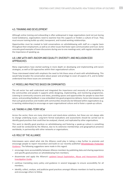### <span id="page-8-0"></span>4.5. TRAINING AND DEVELOPMENT

Although online training and onboarding is often widespread in large organisations (and not just during Covid lockdowns), organisations need to examine how this supports or hinders a culture of trust. They must ensure training builds up solid, transparent, and trusted working relationships.

Opportunities must be created to hold conversations on whistleblowing with staff on a regular basis throughout their employment, as well as on other issues that foster open communication and trust. Some concrete good examples of team discussions during one-to-one meetings exist, with regular reminders of the importance of speaking up.

### 4.6. LINK WITH ANTI-RACISM AND EQUALITY, DIVERSITY, AND INCLUSION (EDI) **APPROACHES**

Many organisations have started working in more depth on developing and implementing anti-racism strategies, as well as EDI approaches within their organisational culture.

Those interviewed stated with emphasis the need to link these areas of work with whistleblowing. This would help broaden the conversation about power and privilege to cover all aspects of it, and to better understand how these issues are connected.

### 4.7. MODELLING PRACTICE BASED ON COMMUNITIES

The aid sector has well understood and integrated the importance and necessity of accountability to the communities and people it supports while designing, implementing, and monitoring programmes. Listening to community concerns and views, providing spaces and opportunities for people to raise their voices, and providing feedback is now embedded into good programme delivery. Some interviewees said that such good practices and models with communities should also be followed within organisations (e.g. in working relationships) to encourage an open organisational culture and to foster a speak-up culture.

#### 4.8. TAKING A LONG-TERM VIEW

Across the sector, there are many short-term and stand-alone solutions, but these are not always able to change underlying issues. Long-term formal evaluations and assessments should be carried out to identify good practices that could then be analysed, shared, and replicated by other organisations.

This work to identify good practices on whistleblowing and fostering a speak-up culture is something that could be conducted by the Alliance, due to its extensive memberships and geographical presence worldwide, in partnership with other networks or organisations.

### 4.9. ROLE OF THE ALLIANCE

Interviewees were asked what role the Alliance could play in taking a step further to promote and

encourage people to report misconduct and build on our recently published [Whistleblower Protection](https://d1h79zlghft2zs.cloudfront.net/uploads/2021/11/Whistleblower_Protection_Guidance_2022.pdf)  [Guidance](https://d1h79zlghft2zs.cloudfront.net/uploads/2021/11/Whistleblower_Protection_Guidance_2022.pdf). The following suggestions were made in this regard:

- encourage more accountability between Alliance members by publishing data and sharing experience and specific good practices on whistleblowing from members;
- disseminate and apply the Alliance's updated Sexual Exploitation, Abuse and Harassment (SEAH) [Investigation Guide](https://www.chsalliance.org/get-support/resource/sexual-exploitation-abuse-and-harassment-seah-investigation-guide/);
- continue translating every policy and guidance in several languages to ensure accessibility for all members;
- identify, collect, analyse, and publicise good practices amongst Alliance members to lead by example and encourage others to follow.